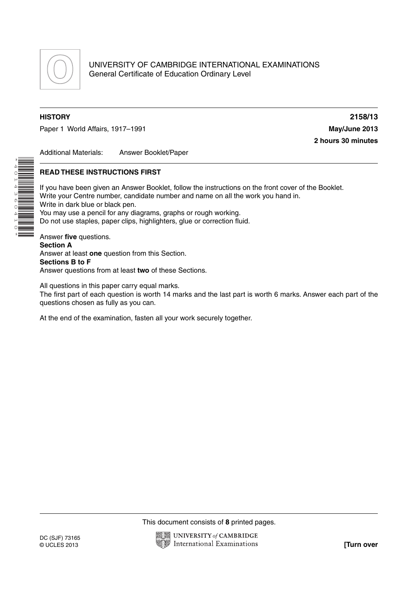

\*4014360410\*

Paper 1 World Affairs, 1917–1991 **May/June 2013**

**HISTORY 2158/13 2 hours 30 minutes**

Additional Materials: Answer Booklet/Paper

#### **READ THESE INSTRUCTIONS FIRST**

If you have been given an Answer Booklet, follow the instructions on the front cover of the Booklet. Write your Centre number, candidate number and name on all the work you hand in. Write in dark blue or black pen. You may use a pencil for any diagrams, graphs or rough working. Do not use staples, paper clips, highlighters, glue or correction fluid. Answer **five** questions. **Section A**

Answer at least **one** question from this Section. **Sections B to F** Answer questions from at least **two** of these Sections.

All questions in this paper carry equal marks.

The first part of each question is worth 14 marks and the last part is worth 6 marks. Answer each part of the questions chosen as fully as you can.

At the end of the examination, fasten all your work securely together.

This document consists of **8** printed pages.

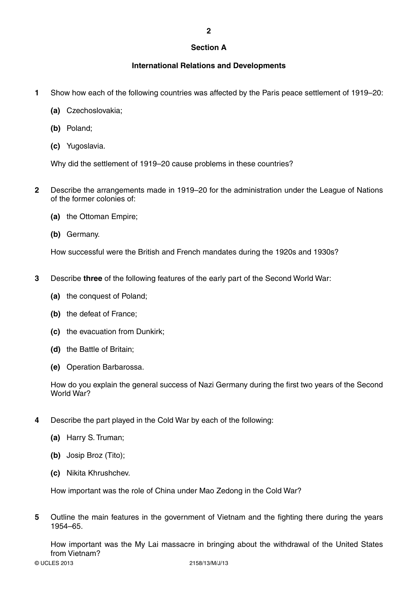## **Section A**

**2**

# **International Relations and Developments**

- **1** Show how each of the following countries was affected by the Paris peace settlement of 1919–20:
	- **(a)** Czechoslovakia;
	- **(b)** Poland;
	- **(c)** Yugoslavia.

Why did the settlement of 1919–20 cause problems in these countries?

- **2** Describe the arrangements made in 1919–20 for the administration under the League of Nations of the former colonies of:
	- **(a)** the Ottoman Empire;
	- **(b)** Germany.

How successful were the British and French mandates during the 1920s and 1930s?

- **3** Describe **three** of the following features of the early part of the Second World War:
	- **(a)** the conquest of Poland;
	- **(b)** the defeat of France;
	- **(c)** the evacuation from Dunkirk;
	- **(d)** the Battle of Britain;
	- **(e)** Operation Barbarossa.

How do you explain the general success of Nazi Germany during the first two years of the Second World War?

- **4** Describe the part played in the Cold War by each of the following:
	- **(a)** Harry S. Truman;
	- **(b)** Josip Broz (Tito);
	- **(c)** Nikita Khrushchev.

How important was the role of China under Mao Zedong in the Cold War?

**5** Outline the main features in the government of Vietnam and the fighting there during the years 1954–65.

How important was the My Lai massacre in bringing about the withdrawal of the United States from Vietnam?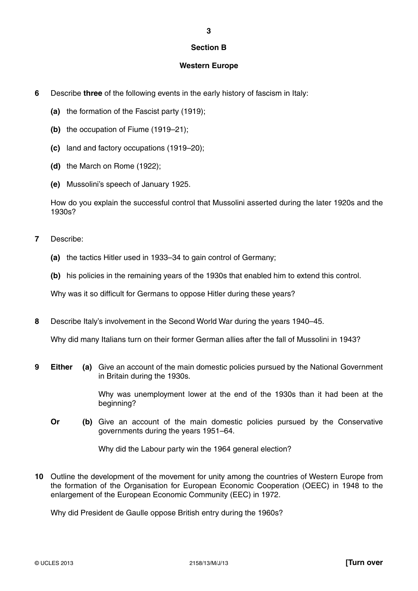## **Section B**

**3**

#### **Western Europe**

- **6** Describe **three** of the following events in the early history of fascism in Italy:
	- **(a)** the formation of the Fascist party (1919);
	- **(b)** the occupation of Fiume (1919–21);
	- **(c)** land and factory occupations (1919–20);
	- **(d)** the March on Rome (1922);
	- **(e)** Mussolini's speech of January 1925 .

How do you explain the successful control that Mussolini asserted during the later 1920s and the 1930s?

- **7** Describe:
	- **(a)** the tactics Hitler used in 1933–34 to gain control of Germany;
	- **(b)** his policies in the remaining years of the 1930s that enabled him to extend this control.

Why was it so difficult for Germans to oppose Hitler during these years?

**8** Describe Italy's involvement in the Second World War during the years 1940–45.

Why did many Italians turn on their former German allies after the fall of Mussolini in 1943?

**9 Either (a)** Give an account of the main domestic policies pursued by the National Government in Britain during the 1930s.

> Why was unemployment lower at the end of the 1930s than it had been at the beginning?

**Or** (b) Give an account of the main domestic policies pursued by the Conservative governments during the years 1951–64.

Why did the Labour party win the 1964 general election?

**10** Outline the development of the movement for unity among the countries of Western Europe from the formation of the Organisation for European Economic Cooperation (OEEC) in 1948 to the enlargement of the European Economic Community (EEC) in 1972.

Why did President de Gaulle oppose British entry during the 1960s?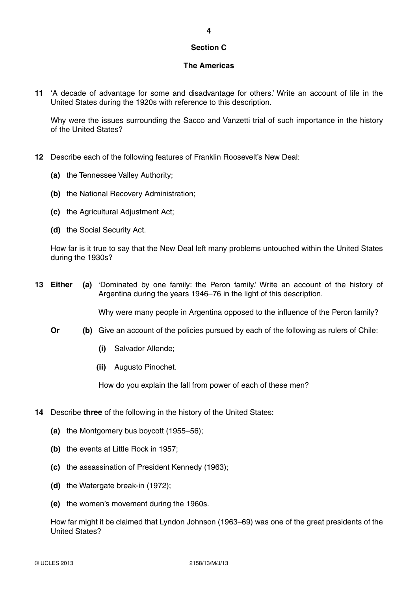# **Section C**

## **The Americas**

**11** 'A decade of advantage for some and disadvantage for others.' Write an account of life in the United States during the 1920s with reference to this description.

Why were the issues surrounding the Sacco and Vanzetti trial of such importance in the history of the United States?

- **12** Describe each of the following features of Franklin Roosevelt's New Deal:
	- **(a)** the Tennessee Valley Authority;
	- **(b)** the National Recovery Administration;
	- **(c)** the Agricultural Adjustment Act;
	- **(d)** the Social Security Act.

How far is it true to say that the New Deal left many problems untouched within the United States during the 1930s?

**13 Either (a)** 'Dominated by one family: the Peron family.' Write an account of the history of Argentina during the years 1946–76 in the light of this description.

Why were many people in Argentina opposed to the influence of the Peron family?

- **Or** (b) Give an account of the policies pursued by each of the following as rulers of Chile:
	- **(i)** Salvador Allende;
	- **(ii)** Augusto Pinochet.

How do you explain the fall from power of each of these men?

- **14** Describe **three** of the following in the history of the United States:
	- **(a)** the Montgomery bus boycott (1955–56);
	- **(b)** the events at Little Rock in 1957;
	- **(c)** the assassination of President Kennedy (1963);
	- **(d)** the Watergate break-in (1972);
	- **(e)** the women's movement during the 1960s.

How far might it be claimed that Lyndon Johnson (1963–69) was one of the great presidents of the United States?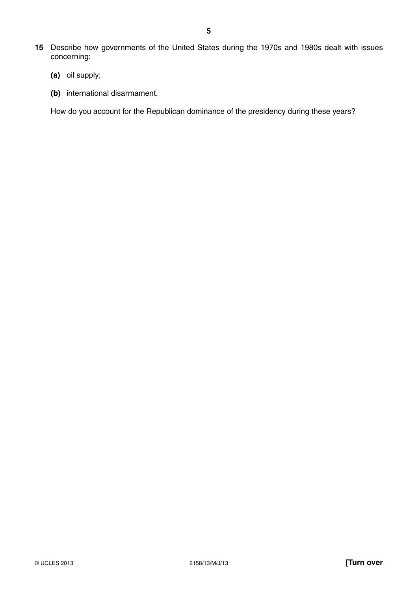- **15** Describe how governments of the United States during the 1970s and 1980s dealt with issues concerning:
	- **(a)** oil supply;
	- **(b)** international disarmament.

How do you account for the Republican dominance of the presidency during these years?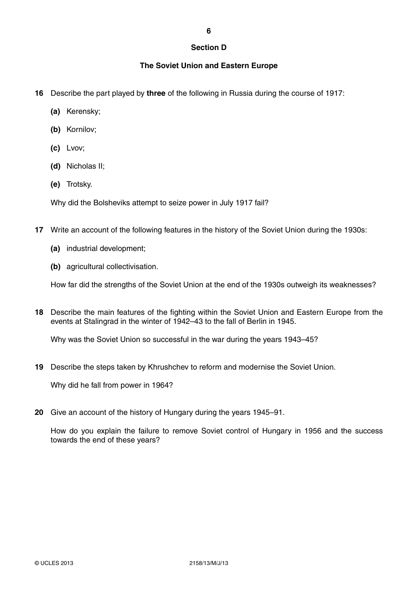## **Section D**

## **The Soviet Union and Eastern Europe**

- **16** Describe the part played by **three** of the following in Russia during the course of 1917:
	- **(a)** Kerensky;
	- **(b)** Kornilov;
	- **(c)** Lvov;
	- **(d)** Nicholas II;
	- **(e)** Trotsky.

Why did the Bolsheviks attempt to seize power in July 1917 fail?

- **17** Write an account of the following features in the history of the Soviet Union during the 1930s:
	- **(a)** industrial development;
	- **(b)** agricultural collectivisation.

How far did the strengths of the Soviet Union at the end of the 1930s outweigh its weaknesses?

**18** Describe the main features of the fighting within the Soviet Union and Eastern Europe from the events at Stalingrad in the winter of 1942–43 to the fall of Berlin in 1945.

Why was the Soviet Union so successful in the war during the years 1943–45?

**19** Describe the steps taken by Khrushchev to reform and modernise the Soviet Union.

Why did he fall from power in 1964?

**20** Give an account of the history of Hungary during the years 1945–91.

How do you explain the failure to remove Soviet control of Hungary in 1956 and the success towards the end of these years?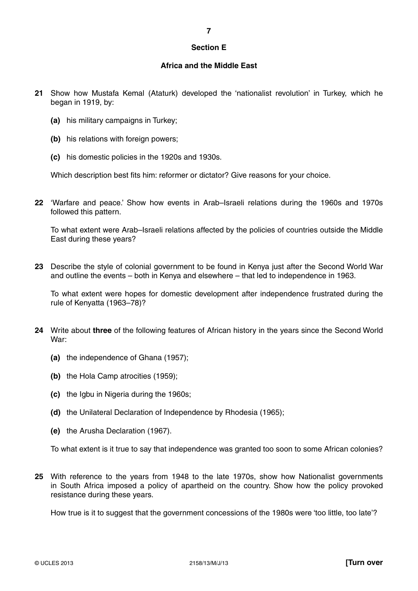#### **Section E**

# **Africa and the Middle East**

- **21** Show how Mustafa Kemal (Ataturk) developed the 'nationalist revolution' in Turkey, which he began in 1919, by:
	- **(a)** his military campaigns in Turkey;
	- **(b)** his relations with foreign powers;
	- **(c)** his domestic policies in the 1920s and 1930s .

Which description best fits him: reformer or dictator? Give reasons for your choice.

**22** 'Warfare and peace.' Show how events in Arab–Israeli relations during the 1960s and 1970s followed this pattern.

To what extent were Arab–Israeli relations affected by the policies of countries outside the Middle East during these years?

**23** Describe the style of colonial government to be found in Kenya just after the Second World War and outline the events – both in Kenya and elsewhere – that led to independence in 1963 .

To what extent were hopes for domestic development after independence frustrated during the rule of Kenyatta (1963–78)?

- **24** Write about **three** of the following features of African history in the years since the Second World War:
	- **(a)** the independence of Ghana (1957);
	- **(b)** the Hola Camp atrocities (1959);
	- **(c)** the Igbu in Nigeria during the 1960s;
	- **(d)** the Unilateral Declaration of Independence by Rhodesia (1965);
	- **(e)** the Arusha Declaration (1967).

To what extent is it true to say that independence was granted too soon to some African colonies?

**25** With reference to the years from 1948 to the late 1970s, show how Nationalist governments in South Africa imposed a policy of apartheid on the country. Show how the policy provoked resistance during these years.

How true is it to suggest that the government concessions of the 1980s were 'too little, too late'?